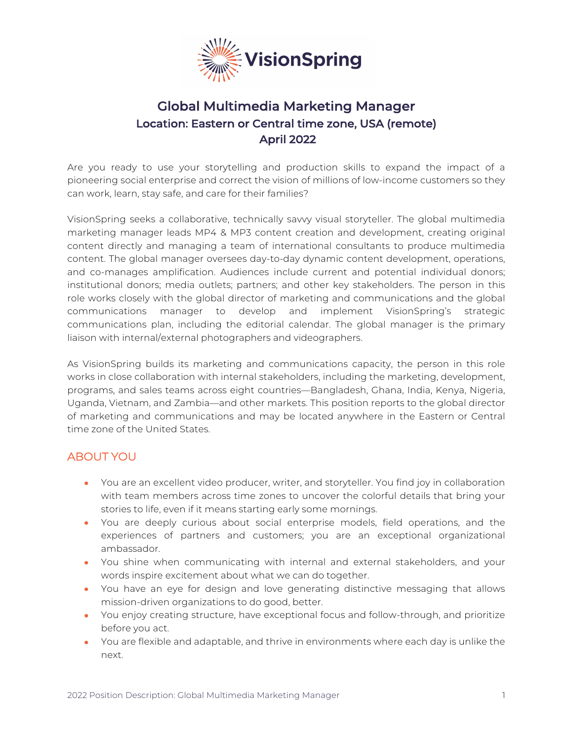

# Global Multimedia Marketing Manager Location: Eastern or Central time zone, USA (remote) April 2022

Are you ready to use your storytelling and production skills to expand the impact of a pioneering social enterprise and correct the vision of millions of low-income customers so they can work, learn, stay safe, and care for their families?

VisionSpring seeks a collaborative, technically savvy visual storyteller. The global multimedia marketing manager leads MP4 & MP3 content creation and development, creating original content directly and managing a team of international consultants to produce multimedia content. The global manager oversees day-to-day dynamic content development, operations, and co-manages amplification. Audiences include current and potential individual donors; institutional donors; media outlets; partners; and other key stakeholders. The person in this role works closely with the global director of marketing and communications and the global communications manager to develop and implement VisionSpring's strategic communications plan, including the editorial calendar. The global manager is the primary liaison with internal/external photographers and videographers.

As VisionSpring builds its marketing and communications capacity, the person in this role works in close collaboration with internal stakeholders, including the marketing, development, programs, and sales teams across eight countries—Bangladesh, Ghana, India, Kenya, Nigeria, Uganda, Vietnam, and Zambia—and other markets. This position reports to the global director of marketing and communications and may be located anywhere in the Eastern or Central time zone of the United States.

### ABOUT YOU

- You are an excellent video producer, writer, and storyteller. You find joy in collaboration with team members across time zones to uncover the colorful details that bring your stories to life, even if it means starting early some mornings.
- You are deeply curious about social enterprise models, field operations, and the experiences of partners and customers; you are an exceptional organizational ambassador.
- You shine when communicating with internal and external stakeholders, and your words inspire excitement about what we can do together.
- You have an eye for design and love generating distinctive messaging that allows mission-driven organizations to do good, better.
- You enjoy creating structure, have exceptional focus and follow-through, and prioritize before you act.
- You are flexible and adaptable, and thrive in environments where each day is unlike the next.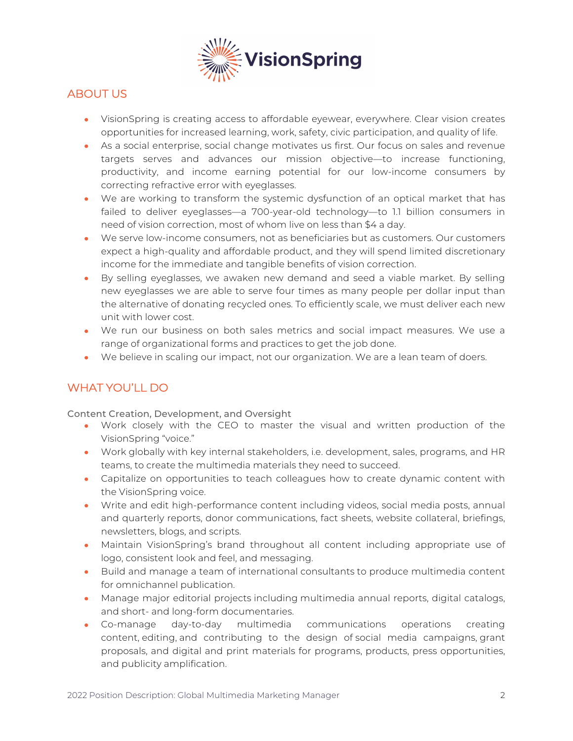

## ABOUT US

- VisionSpring is creating access to affordable eyewear, everywhere. Clear vision creates opportunities for increased learning, work, safety, civic participation, and quality of life.
- As a social enterprise, social change motivates us first. Our focus on sales and revenue targets serves and advances our mission objective—to increase functioning, productivity, and income earning potential for our low-income consumers by correcting refractive error with eyeglasses.
- We are working to transform the systemic dysfunction of an optical market that has failed to deliver eyeglasses—a 700-year-old technology—to 1.1 billion consumers in need of vision correction, most of whom live on less than \$4 a day.
- We serve low-income consumers, not as beneficiaries but as customers. Our customers expect a high-quality and affordable product, and they will spend limited discretionary income for the immediate and tangible benefits of vision correction.
- By selling eyeglasses, we awaken new demand and seed a viable market. By selling new eyeglasses we are able to serve four times as many people per dollar input than the alternative of donating recycled ones. To efficiently scale, we must deliver each new unit with lower cost.
- We run our business on both sales metrics and social impact measures. We use a range of organizational forms and practices to get the job done.
- We believe in scaling our impact, not our organization. We are a lean team of doers.

## WHAT YOU'LL DO

Content Creation, Development, and Oversight

- Work closely with the CEO to master the visual and written production of the VisionSpring "voice."
- Work globally with key internal stakeholders, i.e. development, sales, programs, and HR teams, to create the multimedia materials they need to succeed.
- Capitalize on opportunities to teach colleagues how to create dynamic content with the VisionSpring voice.
- Write and edit high-performance content including videos, social media posts, annual and quarterly reports, donor communications, fact sheets, website collateral, briefings, newsletters, blogs, and scripts.
- Maintain VisionSpring's brand throughout all content including appropriate use of logo, consistent look and feel, and messaging.
- Build and manage a team of international consultants to produce multimedia content for omnichannel publication.
- Manage major editorial projects including multimedia annual reports, digital catalogs, and short- and long-form documentaries.
- Co-manage day-to-day multimedia communications operations creating content, editing, and contributing to the design of social media campaigns, grant proposals, and digital and print materials for programs, products, press opportunities, and publicity amplification.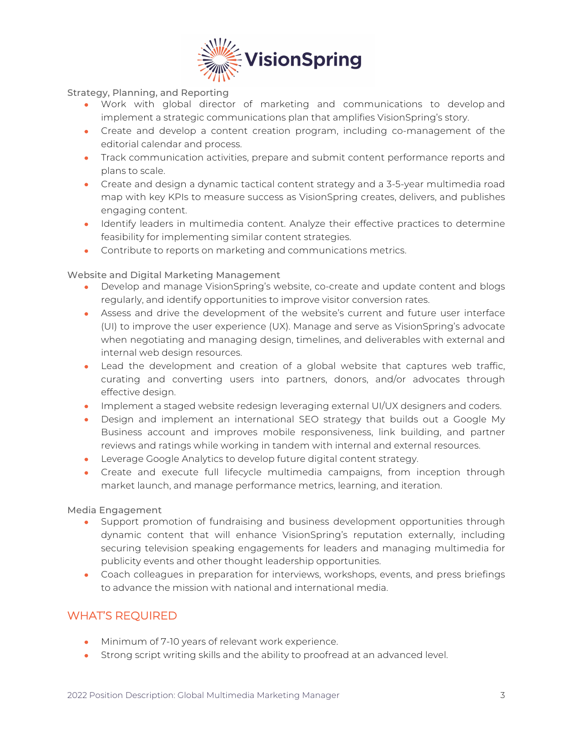

Strategy, Planning, and Reporting

- Work with global director of marketing and communications to develop and implement a strategic communications plan that amplifies VisionSpring's story.
- Create and develop a content creation program, including co-management of the editorial calendar and process.
- Track communication activities, prepare and submit content performance reports and plans to scale.
- Create and design a dynamic tactical content strategy and a 3-5-year multimedia road map with key KPIs to measure success as VisionSpring creates, delivers, and publishes engaging content.
- Identify leaders in multimedia content. Analyze their effective practices to determine feasibility for implementing similar content strategies.
- Contribute to reports on marketing and communications metrics.

Website and Digital Marketing Management

- Develop and manage VisionSpring's website, co-create and update content and blogs regularly, and identify opportunities to improve visitor conversion rates.
- Assess and drive the development of the website's current and future user interface (UI) to improve the user experience (UX). Manage and serve as VisionSpring's advocate when negotiating and managing design, timelines, and deliverables with external and internal web design resources.
- Lead the development and creation of a global website that captures web traffic, curating and converting users into partners, donors, and/or advocates through effective design.
- Implement a staged website redesign leveraging external UI/UX designers and coders.
- Design and implement an international SEO strategy that builds out a Google My Business account and improves mobile responsiveness, link building, and partner reviews and ratings while working in tandem with internal and external resources.
- Leverage Google Analytics to develop future digital content strategy.
- Create and execute full lifecycle multimedia campaigns, from inception through market launch, and manage performance metrics, learning, and iteration.

Media Engagement

- Support promotion of fundraising and business development opportunities through dynamic content that will enhance VisionSpring's reputation externally, including securing television speaking engagements for leaders and managing multimedia for publicity events and other thought leadership opportunities.
- Coach colleagues in preparation for interviews, workshops, events, and press briefings to advance the mission with national and international media.

### WHAT'S REQUIRED

- Minimum of 7-10 years of relevant work experience.
- Strong script writing skills and the ability to proofread at an advanced level.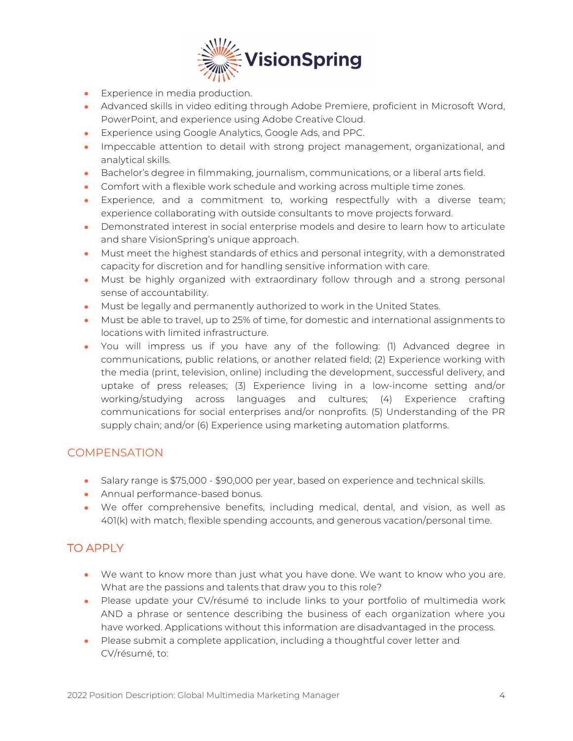

- Experience in media production.
- Advanced skills in video editing through Adobe Premiere, proficient in Microsoft Word, PowerPoint, and experience using Adobe Creative Cloud.
- Experience using Google Analytics, Google Ads, and PPC.
- Impeccable attention to detail with strong project management, organizational, and analytical skills.
- Bachelor's degree in filmmaking, journalism, communications, or a liberal arts field.
- Comfort with a flexible work schedule and working across multiple time zones.
- Experience, and a commitment to, working respectfully with a diverse team; experience collaborating with outside consultants to move projects forward.
- Demonstrated interest in social enterprise models and desire to learn how to articulate and share VisionSpring's unique approach.
- Must meet the highest standards of ethics and personal integrity, with a demonstrated capacity for discretion and for handling sensitive information with care.
- Must be highly organized with extraordinary follow through and a strong personal sense of accountability.
- Must be legally and permanently authorized to work in the United States.
- Must be able to travel, up to 25% of time, for domestic and international assignments to locations with limited infrastructure.
- You will impress us if you have any of the following: (1) Advanced degree in communications, public relations, or another related field; (2) Experience working with the media (print, television, online) including the development, successful delivery, and uptake of press releases; (3) Experience living in a low-income setting and/or working/studying across languages and cultures; (4) Experience crafting communications for social enterprises and/or nonprofits. (5) Understanding of the PR supply chain; and/or (6) Experience using marketing automation platforms.

### **COMPENSATION**

- Salary range is \$75,000 \$90,000 per year, based on experience and technical skills.
- Annual performance-based bonus.
- We offer comprehensive benefits, including medical, dental, and vision, as well as 401(k) with match, flexible spending accounts, and generous vacation/personal time.

## TO APPLY

- We want to know more than just what you have done. We want to know who you are. What are the passions and talents that draw you to this role?
- Please update your CV/résumé to include links to your portfolio of multimedia work AND a phrase or sentence describing the business of each organization where you have worked. Applications without this information are disadvantaged in the process.
- Please submit a complete application, including a thoughtful cover letter and CV/résumé, to: